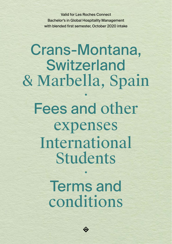Valid for Les Roches Connect Bachelor's in Global Hospitality Management with blended first semester, October 2020 intake

# Crans-Montana, **Switzerland** & Marbella, Spain Fees and other expenses International Students

Terms and conditions

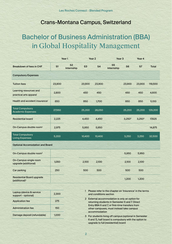# Crans-Montana Campus, Switzerland

# Bachelor of Business Administration (BBA) in Global Hospitality Management

|                                                               |        | Year 1                       |        | Year 2<br>Year <sub>3</sub> |                              | Year 4         |           |              |
|---------------------------------------------------------------|--------|------------------------------|--------|-----------------------------|------------------------------|----------------|-----------|--------------|
| <b>Breakdown of fees in CHF</b>                               | S1     | S <sub>2</sub><br>Internship | S3     | <b>S4</b>                   | S <sub>5</sub><br>Internship | S <sub>6</sub> | S7        | <b>Total</b> |
| <b>Compulsory Expenses</b>                                    |        |                              |        |                             |                              |                |           |              |
| <b>Tuition fees</b>                                           | 23,900 |                              | 23,900 | 23,900                      |                              | 23,900         | 23,900    | 119,500      |
| Learning resources and<br>practical arts apparel              | 2,800  |                              | 450    | 450                         |                              | 450            | 450       | 4,600        |
| Health and accident insurance <sup>1</sup>                    | 850    |                              | 850    | 1,700                       |                              | 850            | 850       | 5,100        |
| <b>Total Compulsory</b><br><b>Academic Expenses</b>           | 27,550 |                              | 25,200 | 26,050                      |                              | 25,200         | 25,200    | 129,200      |
| <b>Residential board</b>                                      | 2,225  |                              | 4,450  | 4,450                       |                              | $3,250^3$      | $3,250^3$ | 17,625       |
| On-Campus double room <sup>2</sup>                            | 2,975  |                              | 5,950  | 5,950                       |                              |                |           | 14,875       |
| <b>Total Compulsory</b><br><b>Living Expenses</b>             | 5,200  |                              | 10,400 | 10,400                      |                              | 3,250          | 3,250     | 32,500       |
| <b>Optional Accomodation and Board</b>                        |        |                              |        |                             |                              |                |           |              |
| On-Campus double room <sup>2</sup>                            |        |                              |        |                             |                              | 5,950          | 5,950     |              |
| On-Campus single room<br>upgrade (additional)                 | 1,050  |                              | 2,100  | 2,100                       |                              | 2,100          | 2,100     |              |
| Car parking                                                   | 250    |                              | 500    | 500                         |                              | 500            | 500       |              |
| <b>Residential Board upgrade</b><br>(additional) <sup>3</sup> |        |                              |        |                             |                              | 1,200          | 1,200     |              |

| Laptop (device & service<br>support - optional) | 2,300 |
|-------------------------------------------------|-------|
| <b>Application fee</b>                          | 275   |
| <b>Administration fee</b>                       | 150   |
| Damage deposit (refundable)                     | 1.000 |

- 1 Please refer to the chapter on 'Insurance' in the terms and conditions section
- 2 External accommodation is only an option for returning students in Semester 6 and 7. Direct Entry BBA 6 and 7, or first-time transfers from other campuses, must instead take campus accommodation
- 3 For students living off campus (optional in Semester 6 and 7), half board is compulsory with the option to upgrade to full (residential) board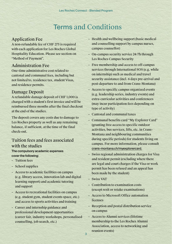# Terms and Conditions

### Application Fee

A non-refundable fee of CHF 275 is required with each application for Les Roches Global Hospitality Education. Please see section on "Method of Payment".

### Administration Fee

One-time administrative cost related to cantonal and communal fees, including but not limited to, residence tax, student Visas, and residence permits.

# Damage Deposit

A refundable damage deposit of CHF 1,000 is charged with a student's first invoice and will be reimbursed three months after the final checkout at the end of the studies.

The deposit covers any costs due to damage to Les Roches property as well as any remaining balance, if sufficient, at the time of the final check-out.

# Tuition fees and fees associated with the studies

### The compulsory academic expenses cover the following:

- Tuition fees
- School supplies
- Access to academic facilities on campus (e.g. library access, innovation lab and digital learning support) and academic tutoring and support
- Access to recreational facilities on campus (e.g. student gym, student events space, etc.) and access to sports activities and training
- Career and internship guidance and professional development opportunities (career fair, industry workshops, personalised counselling, job search, etc.)
- Health and wellbeing support (basic medical and counselling support by campus nurses, campus counsellor)
- On-campus security service 24/7h through Les Roches Campus Security
- Free membership and access to off-campus services through International SOS (e.g. while on internship) such as medical and travel security assistance (incl. 6 days pre-arrival and post-departure to and from Crans-Montana)
- Access to specific campus organized events (e.g. leadership series, industry events) and extra-curricular activities and conferences (may incur participation fees depending on type of activity)
- Cantonal and communal taxes
- Communal benefits card "My Explorer Card" (granting free access to specific outdoor activities, bus services, lifts, etc. in Crans-Montana and neighbouring communities during specific periods) for students living on campus. For more information, please consult [crans-montana.ch/myexplorercard.](http://crans-montana.ch/myexplorercard)
- Swiss regional administration charges for Visa and resident permit (excluding where there are legal and court charges if the Visa or work permit has been refused and an appeal has been made by the student)
- Swiss VAT
- Contribution to examination costs (except resit or retake examinations)
- Access to Microsoft Office automation licenses
- Reception and postal distribution service on campus
- Access to Alumni services (lifetime membership to the Les Roches Alumni Association, access to networking and reunion events)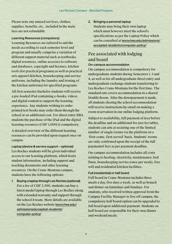Please note any unused services, clothes, supplies, benefits, etc., included in the main fees are not refundable

### Learning Resources (compulsory)

Learning Resources are tailored to suit the needs according to each semester level and program and usually comprise a variation of different support material such as textbooks, digital resources, online accesses to software and databases, copyright and licenses, kitchen tools (for practical programs) as well as practical arts apparel (kitchen, housekeeping and service uniforms, including the laundry and ironing of the kitchen uniforms) for specified programs.

All first semester Bachelor students will receive a pre-loaded iPad containing e-books, videos and digital content to support the learning experience. Any students wishing to order printed text books may order them through the school at an additional cost. For direct entry BBA students the purchase of the iPad and the digital learning resources (CHF 1,000) is compulsory.

A detailed overview of the different learning resources can be provided upon request once on campus.

Laptop (device & service support – optional) Les Roches students will be given individual access to our learning platform, which hosts student information, including support and teaching documents and other learning resources. On the Crans-Montana campus, students have the following options:

1. Buying a laptop through Les Roches (optional) For a fee of CHF 2,300, students can buy a latest model laptop through Les Roches along with extended warranty and support through the school it team. More details are available on the Les Roches website [lesroches.edu/](https://www.lesroches.edu/admissions/accepted-students/computer-policy/) [admissions/accepted-students/](https://www.lesroches.edu/admissions/accepted-students/computer-policy/) [computer-policy/](https://www.lesroches.edu/admissions/accepted-students/computer-policy/)

### 2. Bringing a personal laptop

Students may bring their own laptop which must however meet the school's specifications as per the Laptop Policy which can be consulted at [lesroches.edu/admissions/](https://www.lesroches.edu/admissions/accepted-students/computer-policy/) [accepted-students/computer-policy/](https://www.lesroches.edu/admissions/accepted-students/computer-policy/)

# Fee associated with lodging and board

### On-campus accommodation

On-campus accommodation is compulsory for undergraduate students during Semesters 1, 3 and 4, as well as for all undergraduate direct entry and undergraduate exchange students transferring to Les Roches Crans-Montana for the first time. The standard rate covers accommodation in a shared Double Room. After the downpayment is made, all students chosing the school accommodation will receive instructions by email on making a room reservation in our online lodging platform.

Subject to availability, full payment of fees before the deadline and an additional fee (see fee table), students can aim at securing one of the limited number of single rooms via the platform on a 'first-come, first-served' basis. Students' rooms are only confirmed upon the receipt of the full paymentof fees as per payment deadline.

On-campus accommodation includes all costs relating to heating, electricity, maintenance, bed linen, housekeeping service (once per week), free wifi and residential kitchen facilities.

### Full (residential) or half board

Full board in Crans-Montana includes three meals a day, five days a week, as well as brunch and dinner on Saturdays and Sundays. For students, who received written approval from the Campus Facility Manager to live off campus, the compulsory half board option can be upgraded to full board upon additional payment. Students on half board are responsible for their own dinner and weekend meals.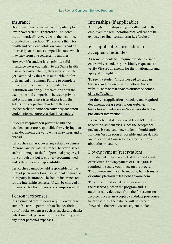### **Insurance**

Health insurance coverage is compulsory by law in Switzerland. Therefore all students are automatically covered with the insurance provided by the school. This covers them for health and accident, while on campus and on internship, at the most competitive rate, which may vary from one semester to another.

However, if a student has a private, valid insurance cover equivalent to the Swiss health insurance cover scheme, they may request to get exempted by the Swiss authorities before their arrival on campus. Failure to complete the request, the insurance provided by the Institution will apply. Information about the exemption and comparison between private and school insurance is available from the Admissions department or from the Les Roches website [lesroches.edu/apply/accepted](http://lesroches.edu/apply/accepted-studentinformation/pre-arrival-information/ )[studentinformation/pre-arrival-information/](http://lesroches.edu/apply/accepted-studentinformation/pre-arrival-information/ )

Students keeping their private health and accident cover are responsible for verifying that their documents are valid while in Switzerland or abroad.

Les Roches will not cover any related expenses. Personal and private insurance, to cover issues such as damage or theft of personal property, is not compulsory but is strongly recommended and is the student's responsibility.

Les Roches cannot be held responsible for the theft of personal belongings, student damage or third party insurance. The health insurance fee for the internship semester(s) will be charged on the invoice for the previous on-campus semester.

### Personal expenses

It is estimated that students require on average sum of CHF 500 per month to finance their outof-pocket expenses such as snacks and drinks, entertainment, personal supplies, laundry, and any other personal expenses.

# Internships (if applicable)

Although internships are generally paid by the employer, the remuneration received cannot be expected to finance studies at Les Roches.

# Visa application procedure for accepted candidates

As some students will require a student Visa to enter Switzerland, they are kindly requested to verify Visa requirements for their nationality and apply at the right time.

To see if a student Visa is needed to study in Switzerland, please visit the official Swiss website: [sem.admin.ch/sem/en/home/themen/](https://www.sem.admin.ch/content/sem/en/home/themen/einreise/faq.html) [einreise/faq.html](https://www.sem.admin.ch/content/sem/en/home/themen/einreise/faq.html) 

For the Visa application procedure and required documents, please refer to our website: [lesroches.edu/admissions/accepted-students/](https://www.lesroches.edu/admissions/accepted-students/pre-arrival-information/) [pre-arrival-information/](https://www.lesroches.edu/admissions/accepted-students/pre-arrival-information/)

Please note that it may take at least 2-3 months to obtain a student Visa. Once the acceptance package is received, new students should apply for their Visa as soon as possible and speak with an Educational Counselor for any questions about the procedure.

# Downpayment (reservation)

New students: Upon receipt of the conditional offer letter, a downpayment of CHF 5,000 is required to secure your place on the program. The downpayment can be made by bank transfer or online platform at [lesroches.flywire.com](https://lesroches.flywire.com).

This non-refundable deposit guarantees the reserved place in the program and is automatically deducted from the first semester's invoice. In case an accepted candidate postpones his/her studies, the balance will be carried forward to the next two subsequent intakes.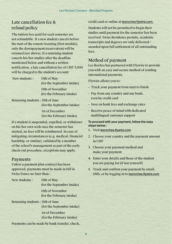#### Les Roches Connect - Blended Program

# Late cancellation fee & refund policy

The tuition fees paid for each semester are not refundable. If a new student cancels before the start of the remote learning (first module), only the downpayment (reservation) will be retained (see above). If a returning student cancels his/her studies after the deadline mentioned below and without a written notification, a late cancellation fee of CHF 3,000 will be charged to the student's account:

New students : 15th of May

(for the September intake)

15th of November (for the February intake)

Returning students : 15th of June (for the September intake)

> 1st of December (for the February intake)

If a student is suspended, expelled, or withdraws on his/her own wish once the semester has started, no fees will be reimbursed. In case of mitigating circumstances (e.g. medical, financial hardship, or similar), validated by a member of the school's management as part of the early check-out procedure, exceptions may apply.

### Payments

Unless a payment plan contract has been approved, payments must be made in full in Swiss francs no later than :

New students : 15th of May (for the September intake)

> 15th of November (for the February intake)

Returning students : 15th of June (for the September intake)

> 1st of December (for the February intake)

Payments can be made by bank transfer, check,

credit card or online at [lesroches.flywire.com](https://lesroches.flywire.com).

Students will not be permitted to begin their studies until payment for the semester has been received. Swiss Residence permits, academic transcripts and degrees are only delivered / awarded upon full settlement of all outstanding fees.

# Method of payment

Les Roches has partnered with Flywire to provide you with an easy and secure method of sending international payments.

Flywire allows you to:

- Track your payment from start to finish
- Pay from any country and any bank, even by credit card
- Save on bank fees and exchange rates
- Receive peace of mind with dedicated multilingual customer support

### To proceed with your payment, follow the easy steps below :

- 1. Visit [lesroches.flywire.com](http://lesroches.flywire.com)
- 2. Choose your country and the payment amount in CHF
- 3. Choose your payment method and make your payment
- 4. Enter your details and those of the student you are paying for (if not yourself)
- 5. Track and confirm your payment by email, SMS, or by logging in to [lesroches.flywire.com](https://lesroches.flywire.com)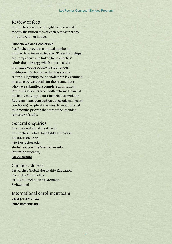#### Les Roches Connect - Blended Program

# Review of fees

Les Roches reserves the right to review and modify the tuition fees of each semester at any time and without notice.

### Financial aid and Scholarship

Les Roches provides a limited number of scholarships for new students. The scholarships are competitive and linked to Les Roches' admissions strategy which aims to assist motivated young people to study at our institution. Each scholarship has specific criteria. Eligibility for a scholarship is examined on a case-by-case basis for those candidates who have submitted a complete application. Returning students faced with extreme financial difficulty may apply for Financial Aid with the Registrar at [academics@lesroches.edu](mailto:mailto:academics%40lesroches.edu?subject=) (subject to conditions). Applications must be made at least four months prior to the start of the intended semester of study.

### General enquiries

International Enrollment Team Les Roches Global Hospitality Education +41 (0)21 989 26 44 [info@lesroches.edu](mailto:info%40lesroches.edu?subject=) [studentsaccounting@lesroches.edu](mailto:studentsaccounting%40lesroches.edu%20?subject=) (returning students) [lesroches.edu](http://lesroches.edu)

# Campus address

Les Roches Global Hospitality Education Route des Moulinettes 2 CH-3975 Bluche/Crans-Montana Switzerland

# International enrollment team

+41 (0)21 989 26 44 [info@lesroches.edu](mailto:info%40lesroches.edu?subject=)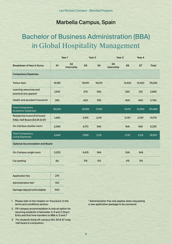# Marbella Campus, Spain

# Bachelor of Business Administration (BBA) in Global Hospitality Management

|                                                                       |        | Year 1                       |                | Year <sub>2</sub> | Year <sub>3</sub>            |                    | Year 4             |              |
|-----------------------------------------------------------------------|--------|------------------------------|----------------|-------------------|------------------------------|--------------------|--------------------|--------------|
| <b>Breakdown of fees in Euros</b>                                     | S1     | S <sub>2</sub><br>Internship | S <sub>3</sub> | S <sub>4</sub>    | S <sub>5</sub><br>Internship | S <sub>6</sub>     | S7                 | <b>Total</b> |
| <b>Compulsory Expenses</b>                                            |        |                              |                |                   |                              |                    |                    |              |
| <b>Tuition fees</b>                                                   | 16,165 |                              | 16,010         | 16,010            |                              | 13,420             | 13,420             | 75,025       |
| Learning resources and<br>practical arts apparel                      | 1,640  |                              | 275            | 340               |                              | 290                | 120                | 2,665        |
| Health and accident insurance                                         | 395    |                              | 400            | 795               |                              | 400                | 400                | 2,790        |
| <b>Total Compulsory</b><br><b>Academic Expenses</b>                   | 18,200 |                              | 16,685         | 17,145            |                              | 14,110             | 13,940             | 80,480       |
| <b>Residential board (Full board</b><br>S1&3, Half Board (S4,S6 & S7) | 1,455  |                              | 2,915          | 2,115             |                              | 2,115 <sup>3</sup> | 2,115 <sup>3</sup> | 10,715       |
| On-Campus double room <sup>2</sup>                                    | 2,085  |                              | 4,170          | N/A               |                              | N/A                | N/A                | 6,255        |
| <b>Total Compulsory</b><br><b>Living Expenses</b>                     | 3,540  |                              | 7,085          | 2,115             |                              | 2,115              | 2,115              | 16,970       |
| <b>Optional Accomodation and Board</b>                                |        |                              |                |                   |                              |                    |                    |              |
| On-Campus single room                                                 | 3,205  |                              | 6,415          | N/A               |                              | N/A                | N/A                |              |
| Car parking                                                           | 90     |                              | 175            | 175               |                              | 175                | 175                |              |
|                                                                       |        |                              |                |                   |                              |                    |                    |              |
|                                                                       |        |                              |                |                   |                              |                    |                    |              |

| <b>Application fee</b>      | 275 |
|-----------------------------|-----|
| Administration fee*         | 100 |
| Damage deposit (refundable) | 500 |

- 1 Please refer to the chapter on 'Insurance' in the terms and conditions section
- 2 Off-campus accommodation is only an option for returning students in Semester 4, 6 and 7, Direct Entry and first time transfers to BBA 4, 6 and 7
- 3 For students living off-campus (S4, S6 & S7 only), half board is compulsory

\* Administration Fee only applies when requesting a new application package to be couriered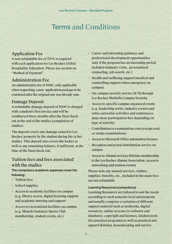# Terms and Conditions

# Application Fee

A non-refundable fee of 275  $\epsilon$  is required with each application for Les Roches Global Hospitality Education. Please see section on "Method of Payment".

# Administration Fee

An administrative fee of 100€, only applicable when requesting a new application package to be couriered after the original one was already sent.

### Damage Deposit

A refundable damage deposit of 500€ is charged with a student's first invoice and will be reimbursed three months after the final checkout at the end of the studies (completion of studies).

The deposit covers any damage caused to Les Roches' property by the student during his or her studies. This deposit also covers the locker as well as any remaining balance, if sufficient, at the time of the final check-out.

# Tuition fees and fees associated with the studies

### The compulsory academic expenses cover the following:

– Tuition fees

–

- School supplies
- Access to academic facilities on campus (e.g. library access, digital learning support and academic tutoring and support
- Access to recreational facilities on campus (e.g. Manolo Santana's Sports Club membership, student events, etc.)
- Career and internship guidance and professional development opportunities only if the program has an internship period included (industry visits, personalized counseling, job search, etc.)
- Health and wellbeing support (medical and counselling support when emergency on campus)
- On-campus security service 24/7h through Les Roches Marbella Campus Security
- Access to specific campus organized events (e.g. leadership series, industry events) and extra-curricular activities and conferences (may incur participation fees depending on type of activity)
- Contribution to examination costs (except resit or retake examinations)
- Access to Microsoft Office automation licenses
- Reception and postal distribution service on campus
- Access to Alumni services (lifetime membership to the Les Roches Alumni Association, access to networking and reunion events)

Please note any unused services, clothes, supplies, benefits, etc., included in the main fees are not refundable

### Learning Resources (compulsory)

Learning Resources are tailored to suit the needs according to each semester level and program and usually comprise a variation of different support material such as textbooks, digital resources, online accesses to software and databases, copyright and licenses, kitchen tools (for practical programs) as well as practical arts apparel (kitchen, housekeeping and service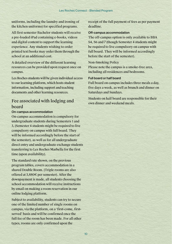uniforms, including the laundry and ironing of the kitchen uniforms) for specified programs.

All first semester Bachelor students will receive a pre-loaded iPad containing e-books, videos and digital content to support the learning experience. Any students wishing to order printed text books may order them through the school at an additional cost.

A detailed overview of the different learning resources can be provided upon request once on campus.

Les Roches students will be given individual access to our learning platform, which hosts student information, including support and teaching documents and other learning resources.

# Fee associated with lodging and board

### On-campus accommodation

On-campus accommodation is compulsory for undergraduate students during Semesters 1 and 3, (Semester 4 students might be required to live compulsory on campus with full board. They will be informed accordingly before the start of the semester), as well as for all undergraduate direct entry and undergraduate exchange students transferring to Les Roches Marbella for the first time (upon availability).

The standard rate shown, on the previous program tables, covers accommodation in a shared Double Room. (Triple rooms are also offered at 3,880€ per semester). After the downpayment is made, all students choosing the school accommodation will receive instructions by email on making a room reservation in our online lodging platform.

Subject to availability, students can try to secure one of the limited number of single rooms on campus, via the platform, on a 'first-come, firstserved' basis and will be confirmed once the full fee of the room has been made. For all other types, rooms are only confirmed upon the

receipt of the full payment of fees as per payment deadline.

### Off-campus accommodation

The off-campus option is only available to BBA S4, S6 and 7 (though Semester 4 students might be required to live compulsory on campus with full board. They will be informed accordingly before the start of the semester).

### Non-Smoking Policy

Please note the campus is a smoke-free area, including all residences and bedrooms.

### Full board or half board

Full board on campus includes three meals a day, five days a week, as well as brunch and dinner on Saturdays and Sundays.

Students on half board are responsible for their own dinner and weekend meals.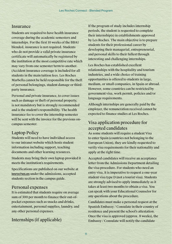### Insurance

Students are required to have health insurance coverage during the academic semesters and internships. For the first 10 weeks of the BBA1 blended, insurance is not required. Students who do not provide a valid private insurance certificate will automatically be registered by the institution at the most competitive rate which may vary from one semester/term to another. (Accident insurance coverage is included for all students in the main tuition fees. Les Roches Marbella cannot be held responsible for the theft of personal belongings, student damage or thirdparty insurance.

Personal and private insurance, to cover issues such as damage or theft of personal property, is not mandatory but is strongly recommended and is the student's responsibility. The health insurance fee to cover the internship semester will be sent with the invoice for the previous oncampus semester.

# Laptop Policy

Students will need to have individual access to our intranet website which hosts student information including support, teaching documents and other learning resources.

Students may bring their own laptop provided it meets the institution's requirements.

Specifications are published on our website at lesroches.es under the admissions, accepted students section in the campus guide.

### Personal expenses

It is estimated that students require on average sum of 300 per month to finance their out-ofpocket expenses such as snacks and drinks, entertainment, personal supplies, laundry, and any other personal expenses.

Internships (if applicable)

If the program of study includes internship periods, the student is requested to complete their internship(s) in establishments approved by Les Roches. The main objective is to prepare students for their professional career by developing their managerial, entrepreneurial, and personal skills to their fullest through interesting and challenging internships.

Les Roches has established excellent relationships with the hospitality and tourism industries, and a wide choice of training opportunities is offered to students in large, medium, or small companies, in Spain or abroad. However, some countries can be restricted by government visa, work permit, policies and/or language requirements.

Although internships are generally paid by the employer, the remuneration received cannot be expected to finance studies at Les Roches.

# Visa application procedure for accepted candidates

As some students will require a student Visa to enter Spain (countries not belonging to the European Union), they are kindly requested to verify visa requirements for their nationality and apply at the right time.

Accepted candidates will receive an acceptance letter from the Admissions Department detailing the visa procedure. For students who need an entry visa, it is imperative to request a one-year student visa type D (not a tourist visa). Students are strongly advised to apply immediately as it takes at least two months to obtain a visa. You can speak with your Educational Counselor for any questions about the procedure.

Candidates must make a personal request at the Spanish Embassy / Consulate in their country of residence and present the school's attestation. Once the visa is approved (approx. 8 weeks), the Embassy / Consulate will notify the candidate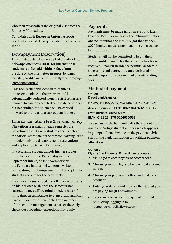who then must collect the original visa from the Embassy / Consulate.

Candidates with European Union passports need only to send the required documents to the school.

### Downpayment (reservation)

1. New students: Upon receipt of the offer letter, a downpayment of 4,000€ for international students is to be paid within 15 days from the date on the offer letter in euros, by bank transfer, credit card or online at flywire.com/pay/ lesrochesmarbella

This non-refundable deposit guarantees the reserved place in the program and is automatically deducted from the first semester's invoice. In case an accepted candidate postpones his/her studies, the balance will be carried forward to the next two subsequent intakes.

# Late cancellation fee & refund policy

The tuition fees paid for each semester are not refundable. If a new student cancels before the official start date of the remote learning (first module), only the downpayment (reservation) and application fee will be retained.

 If a returning student cancels his/her studies after the deadline of 15th of May (for the September intake) or 1st November (for the February intake) and without a written notification, the downpayment will be kept in the student's account for the next intake.

If a student is suspended, expelled, or withdraws on his/her own wish once the semester has started, no fees will be reimbursed. In case of mitigating circumstances (e.g. medical, financial hardship, or similar), validated by a member of the school's management as part of the early check-out procedure, exceptions may apply.

### Payments

Payments must be made in full in euros no later than the 15th November (for the February intake) and no later than the 15th July (for the October 2020 intake), unless a payment plan contract has been approved.

Students will not be permitted to begin their studies until payment for the semester has been received. Spanish Residence permits, academic transcripts and degrees are only delivered / awarded upon full settlement of all outstanding fees.

### Method of payment Option 1 Direct bank transfer

BANCO BILBAO VIZCAYA ARGENTARIA (BBVA) Account number: ES18 0182 2341 7502 0163 0598 Swift adress: BBVAESMM IBAN: 0182 2341 75 0201630598

Please ensure the bank indicates the student's full name and 5-digit student number which appears in your pro-forma invoice on the payment advice slip for the bank transaction to facilitate payment allocation.

### Option 2

### Flywire (bank transfer & credit card accepted)

- 2. Visit: flywire.com/pay/lesrochesmarbella
- 3. Choose your country and the payment amount in EUR.
- 4. Choose your payment method and make your payment.
- 5. Enter your details and those of the student you are paying for (if not yourself).
- 6. Track and confirm your payment by email, SMS, or by logging in to lesrochesmarbella.flywire.com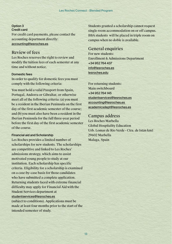#### Option 3 Credit card

For credit card payments, please contact the accounting department directly: accounting@lesroches.es

# Review of fees

Les Roches reserves the right to review and modify the tuition fees of each semester at any time and without notice.

### Domestic fees

In order to qualify for domestic fees you must comply with the following criteria:

You must hold a valid Passport from Spain, Portugal, Andorra or Gibraltar, or otherwise meet all of the following criteria: (a) you must be a resident in the Iberian Peninsula on the first day of the first academic semester of the course; and (b) you must also have been a resident in the Iberian Peninsula for the full three-year period before the first day of the first academic semester of the course.

### Financial aid and Scholarship

Les Roches provides a limited number of scholarships for new students. The scholarships are competitive and linked to Les Roches' admissions strategy, which aims to assist motivated young people to study at our institution. Each scholarship has specific criteria. Eligibility for a scholarship is examined on a case-by-case basis for those candidates who have submitted a complete application. Returning students faced with extreme financial difficulty may apply for Financial Aid with the Student Services department at studentservices@lesroches.es

(subject to conditions). Applications must be made at least four months prior to the start of the intended semester of study.

Students granted a scholarship cannot request single room accommodation on or off campus. BBA students will be placed in triple room on campus when no doble is available.

# General enquiries

For new students: Enrollment & Admissions Department +34 952 764 437 [info@lesroches.es](mailto:info%40lesroches.edu?subject=) [lesroches.](http://lesroches.edu)edu

For returning students: Main switchboard +34 952 764 145 studentservice[s@lesroches.e](mailto:info%40lesroches.edu?subject=)s [accounting@lesroches.es](mailto:studentsaccounting%40lesroches.edu%20?subject=)  academicsdept@lesroches.es

# Campus address

Les Roches Marbella Global Hospitality Education Urb. Lomas de Río Verde - Ctra. de Istán km1 29602 Marbella Malaga, Spain